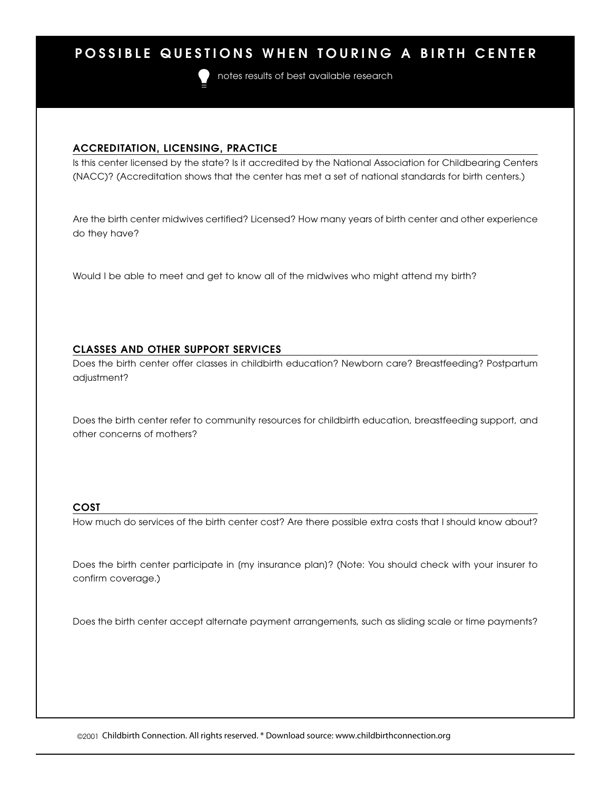# **POSSIBLE QUESTIONS WHEN TOURING A BIRTH CENTER**



notes results of best available research

## **ACCREDITATION, LICENSING, PRACTICE**

Is this center licensed by the state? Is it accredited by the National Association for Childbearing Centers (NACC)? (Accreditation shows that the center has met a set of national standards for birth centers.)

Are the birth center midwives certified? Licensed? How many years of birth center and other experience do they have?

Would I be able to meet and get to know all of the midwives who might attend my birth?

# **CLASSES AND OTHER SUPPORT SERVICES**

Does the birth center offer classes in childbirth education? Newborn care? Breastfeeding? Postpartum adjustment?

Does the birth center refer to community resources for childbirth education, breastfeeding support, and other concerns of mothers?

# **COST**

How much do services of the birth center cost? Are there possible extra costs that I should know about?

Does the birth center participate in [my insurance plan]? (Note: You should check with your insurer to confirm coverage.)

Does the birth center accept alternate payment arrangements, such as sliding scale or time payments?

©2001 Childbirth Connection. All rights reserved. \* Download source: www.childbirthconnection.org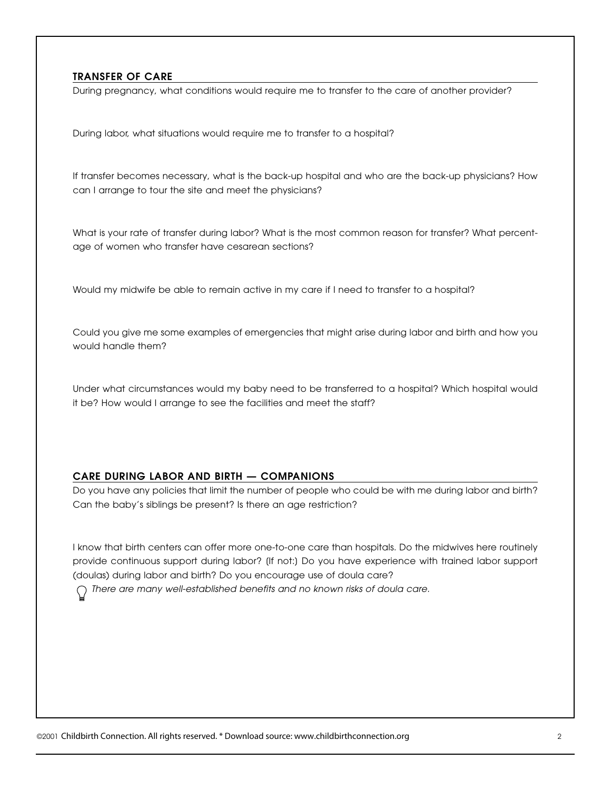# **TRANSFER OF CARE**

During pregnancy, what conditions would require me to transfer to the care of another provider?

During labor, what situations would require me to transfer to a hospital?

If transfer becomes necessary, what is the back-up hospital and who are the back-up physicians? How can I arrange to tour the site and meet the physicians?

What is your rate of transfer during labor? What is the most common reason for transfer? What percentage of women who transfer have cesarean sections?

Would my midwife be able to remain active in my care if I need to transfer to a hospital?

Could you give me some examples of emergencies that might arise during labor and birth and how you would handle them?

Under what circumstances would my baby need to be transferred to a hospital? Which hospital would it be? How would I arrange to see the facilities and meet the staff?

#### **CARE DURING LABOR AND BIRTH — COMPANIONS**

Do you have any policies that limit the number of people who could be with me during labor and birth? Can the baby's siblings be present? Is there an age restriction?

I know that birth centers can offer more one-to-one care than hospitals. Do the midwives here routinely provide continuous support during labor? [If not:] Do you have experience with trained labor support (doulas) during labor and birth? Do you encourage use of doula care?

*There are many well-established benefits and no known risks of doula care.*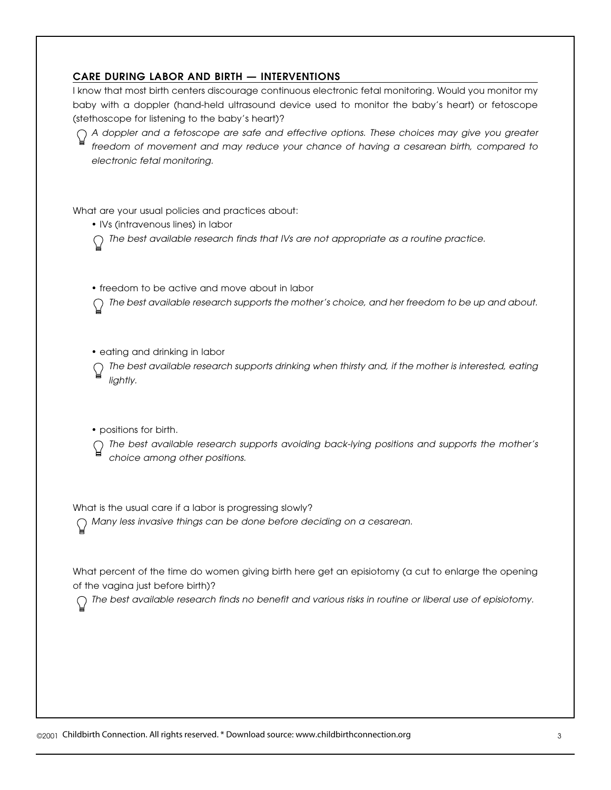# **CARE DURING LABOR AND BIRTH — INTERVENTIONS**

I know that most birth centers discourage continuous electronic fetal monitoring. Would you monitor my baby with a doppler (hand-held ultrasound device used to monitor the baby's heart) or fetoscope (stethoscope for listening to the baby's heart)?

*A doppler and a fetoscope are safe and effective options. These choices may give you greater freedom of movement and may reduce your chance of having a cesarean birth, compared to electronic fetal monitoring.*

What are your usual policies and practices about:

• IVs (intravenous lines) in labor

*The best available research finds that IVs are not appropriate as a routine practice.*

• freedom to be active and move about in labor

*The best available research supports the mother's choice, and her freedom to be up and about.*

• eating and drinking in labor

*The best available research supports drinking when thirsty and, if the mother is interested, eating lightly.*

• positions for birth.

*The best available research supports avoiding back-lying positions and supports the mother's choice among other positions.*

What is the usual care if a labor is progressing slowly?

*Many less invasive things can be done before deciding on a cesarean.*

What percent of the time do women giving birth here get an episiotomy (a cut to enlarge the opening of the vagina just before birth)?

*The best available research finds no benefit and various risks in routine or liberal use of episiotomy.*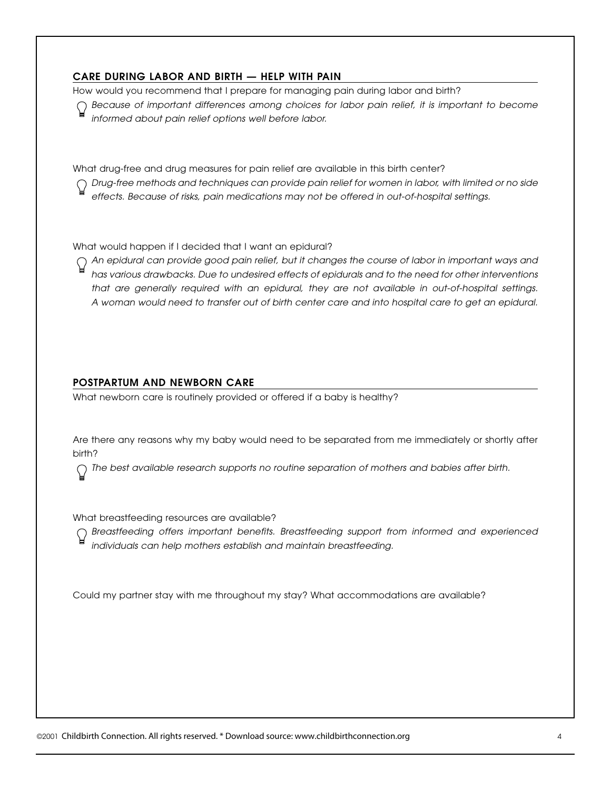# **CARE DURING LABOR AND BIRTH — HELP WITH PAIN**

How would you recommend that I prepare for managing pain during labor and birth?

*Because of important differences among choices for labor pain relief, it is important to become informed about pain relief options well before labor.*

What drug-free and drug measures for pain relief are available in this birth center?

*Drug-free methods and techniques can provide pain relief for women in labor, with limited or no side effects. Because of risks, pain medications may not be offered in out-of-hospital settings.*

What would happen if I decided that I want an epidural?

*An epidural can provide good pain relief, but it changes the course of labor in important ways and has various drawbacks. Due to undesired effects of epidurals and to the need for other interventions that are generally required with an epidural, they are not available in out-of-hospital settings. A woman would need to transfer out of birth center care and into hospital care to get an epidural.*

### **POSTPARTUM AND NEWBORN CARE**

What newborn care is routinely provided or offered if a baby is healthy?

Are there any reasons why my baby would need to be separated from me immediately or shortly after birth?

*The best available research supports no routine separation of mothers and babies after birth.*

What breastfeeding resources are available?

*Breastfeeding offers important benefits. Breastfeeding support from informed and experienced individuals can help mothers establish and maintain breastfeeding.*

Could my partner stay with me throughout my stay? What accommodations are available?